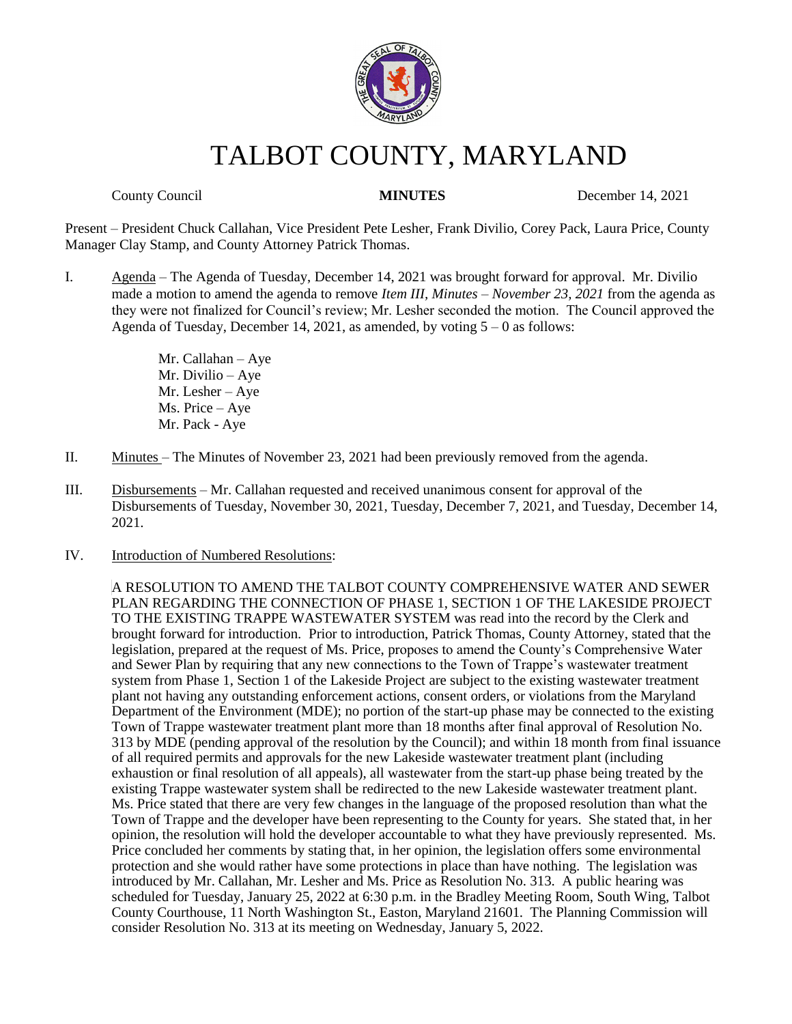

# TALBOT COUNTY, MARYLAND

**County Council 14, 2021 MINUTES** December 14, 2021

Present – President Chuck Callahan, Vice President Pete Lesher, Frank Divilio, Corey Pack, Laura Price, County Manager Clay Stamp, and County Attorney Patrick Thomas.

I. Agenda – The Agenda of Tuesday, December 14, 2021 was brought forward for approval. Mr. Divilio made a motion to amend the agenda to remove *Item III, Minutes – November 23, 2021* from the agenda as they were not finalized for Council's review; Mr. Lesher seconded the motion. The Council approved the Agenda of Tuesday, December 14, 2021, as amended, by voting  $5 - 0$  as follows:

> Mr. Callahan – Aye Mr. Divilio – Aye Mr. Lesher – Aye Ms. Price – Aye Mr. Pack - Aye

- II. Minutes The Minutes of November 23, 2021 had been previously removed from the agenda.
- III. Disbursements Mr. Callahan requested and received unanimous consent for approval of the Disbursements of Tuesday, November 30, 2021, Tuesday, December 7, 2021, and Tuesday, December 14, 2021.
- IV. Introduction of Numbered Resolutions:

A RESOLUTION TO AMEND THE TALBOT COUNTY COMPREHENSIVE WATER AND SEWER PLAN REGARDING THE CONNECTION OF PHASE 1, SECTION 1 OF THE LAKESIDE PROJECT TO THE EXISTING TRAPPE WASTEWATER SYSTEM was read into the record by the Clerk and brought forward for introduction. Prior to introduction, Patrick Thomas, County Attorney, stated that the legislation, prepared at the request of Ms. Price, proposes to amend the County's Comprehensive Water and Sewer Plan by requiring that any new connections to the Town of Trappe's wastewater treatment system from Phase 1, Section 1 of the Lakeside Project are subject to the existing wastewater treatment plant not having any outstanding enforcement actions, consent orders, or violations from the Maryland Department of the Environment (MDE); no portion of the start-up phase may be connected to the existing Town of Trappe wastewater treatment plant more than 18 months after final approval of Resolution No. 313 by MDE (pending approval of the resolution by the Council); and within 18 month from final issuance of all required permits and approvals for the new Lakeside wastewater treatment plant (including exhaustion or final resolution of all appeals), all wastewater from the start-up phase being treated by the existing Trappe wastewater system shall be redirected to the new Lakeside wastewater treatment plant. Ms. Price stated that there are very few changes in the language of the proposed resolution than what the Town of Trappe and the developer have been representing to the County for years. She stated that, in her opinion, the resolution will hold the developer accountable to what they have previously represented. Ms. Price concluded her comments by stating that, in her opinion, the legislation offers some environmental protection and she would rather have some protections in place than have nothing. The legislation was introduced by Mr. Callahan, Mr. Lesher and Ms. Price as Resolution No. 313. A public hearing was scheduled for Tuesday, January 25, 2022 at 6:30 p.m. in the Bradley Meeting Room, South Wing, Talbot County Courthouse, 11 North Washington St., Easton, Maryland 21601. The Planning Commission will consider Resolution No. 313 at its meeting on Wednesday, January 5, 2022.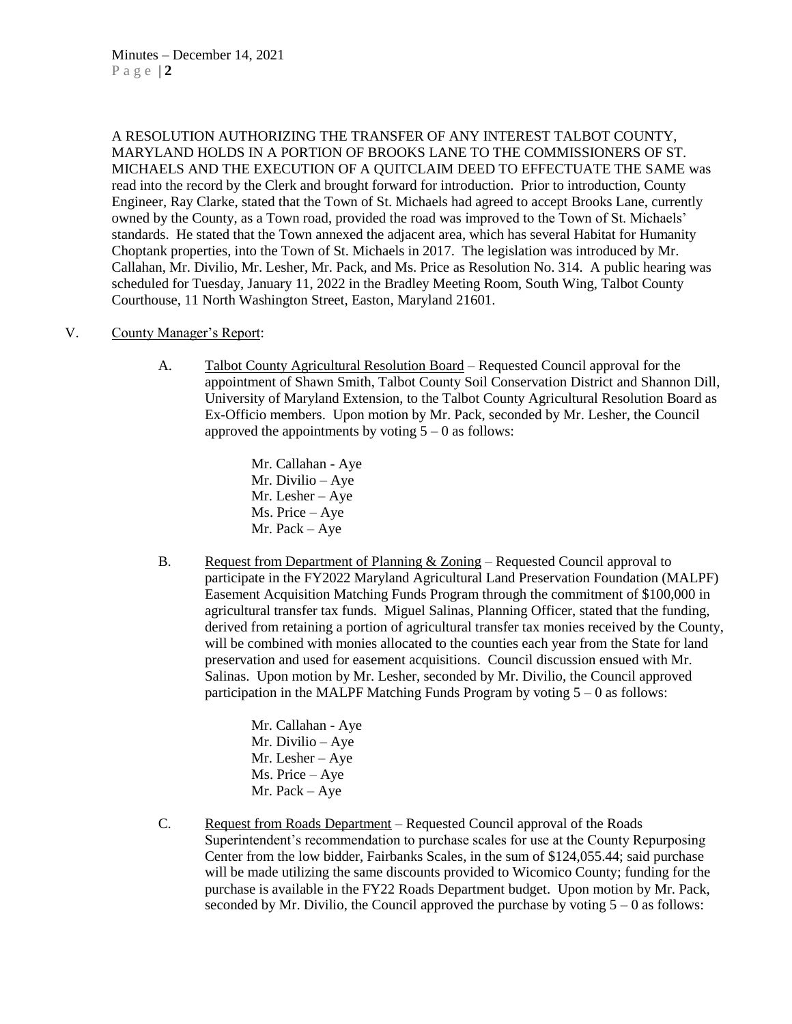A RESOLUTION AUTHORIZING THE TRANSFER OF ANY INTEREST TALBOT COUNTY, MARYLAND HOLDS IN A PORTION OF BROOKS LANE TO THE COMMISSIONERS OF ST. MICHAELS AND THE EXECUTION OF A QUITCLAIM DEED TO EFFECTUATE THE SAME was read into the record by the Clerk and brought forward for introduction. Prior to introduction, County Engineer, Ray Clarke, stated that the Town of St. Michaels had agreed to accept Brooks Lane, currently owned by the County, as a Town road, provided the road was improved to the Town of St. Michaels' standards. He stated that the Town annexed the adjacent area, which has several Habitat for Humanity Choptank properties, into the Town of St. Michaels in 2017. The legislation was introduced by Mr. Callahan, Mr. Divilio, Mr. Lesher, Mr. Pack, and Ms. Price as Resolution No. 314. A public hearing was scheduled for Tuesday, January 11, 2022 in the Bradley Meeting Room, South Wing, Talbot County Courthouse, 11 North Washington Street, Easton, Maryland 21601.

#### V. County Manager's Report:

A. Talbot County Agricultural Resolution Board – Requested Council approval for the appointment of Shawn Smith, Talbot County Soil Conservation District and Shannon Dill, University of Maryland Extension, to the Talbot County Agricultural Resolution Board as Ex-Officio members. Upon motion by Mr. Pack, seconded by Mr. Lesher, the Council approved the appointments by voting  $5 - 0$  as follows:

> Mr. Callahan - Aye Mr. Divilio – Aye Mr. Lesher – Aye Ms. Price – Aye Mr. Pack – Aye

B. Request from Department of Planning & Zoning – Requested Council approval to participate in the FY2022 Maryland Agricultural Land Preservation Foundation (MALPF) Easement Acquisition Matching Funds Program through the commitment of \$100,000 in agricultural transfer tax funds. Miguel Salinas, Planning Officer, stated that the funding, derived from retaining a portion of agricultural transfer tax monies received by the County, will be combined with monies allocated to the counties each year from the State for land preservation and used for easement acquisitions. Council discussion ensued with Mr. Salinas. Upon motion by Mr. Lesher, seconded by Mr. Divilio, the Council approved participation in the MALPF Matching Funds Program by voting  $5 - 0$  as follows:

> Mr. Callahan - Aye Mr. Divilio – Aye Mr. Lesher – Aye Ms. Price – Aye Mr. Pack – Aye

C. Request from Roads Department – Requested Council approval of the Roads Superintendent's recommendation to purchase scales for use at the County Repurposing Center from the low bidder, Fairbanks Scales, in the sum of \$124,055.44; said purchase will be made utilizing the same discounts provided to Wicomico County; funding for the purchase is available in the FY22 Roads Department budget. Upon motion by Mr. Pack, seconded by Mr. Divilio, the Council approved the purchase by voting  $5 - 0$  as follows: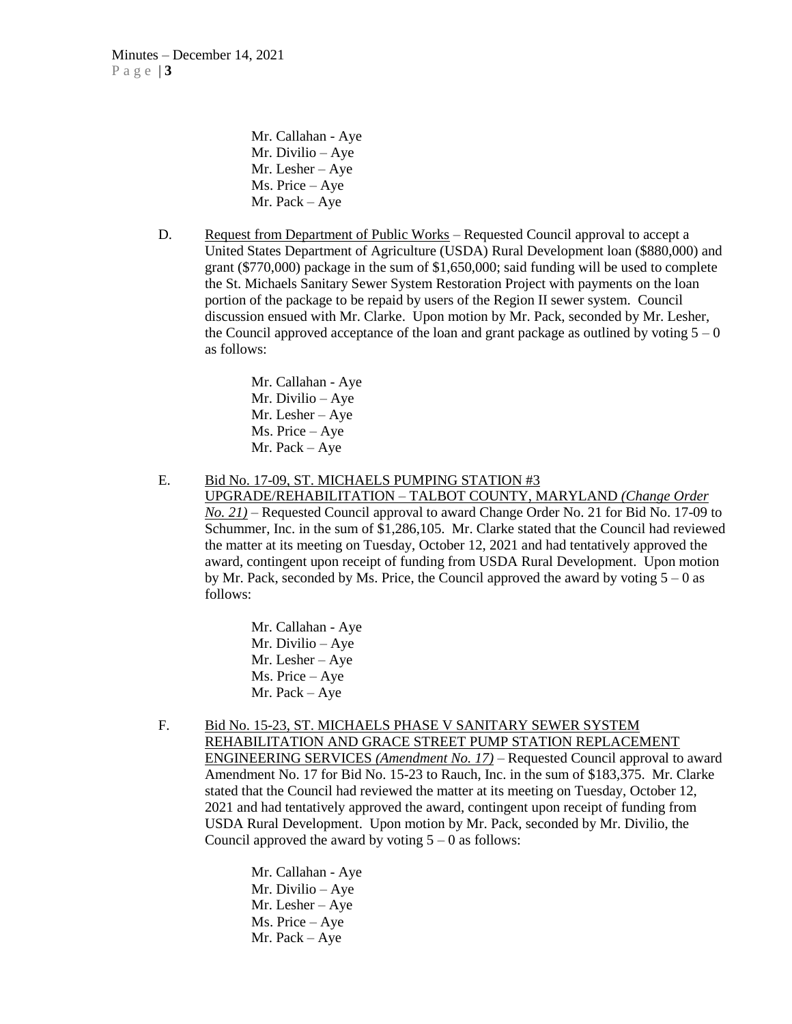Mr. Callahan - Aye Mr. Divilio – Aye Mr. Lesher – Aye Ms. Price – Aye Mr. Pack – Aye

D. Request from Department of Public Works – Requested Council approval to accept a United States Department of Agriculture (USDA) Rural Development loan (\$880,000) and grant (\$770,000) package in the sum of \$1,650,000; said funding will be used to complete the St. Michaels Sanitary Sewer System Restoration Project with payments on the loan portion of the package to be repaid by users of the Region II sewer system. Council discussion ensued with Mr. Clarke. Upon motion by Mr. Pack, seconded by Mr. Lesher, the Council approved acceptance of the loan and grant package as outlined by voting  $5 - 0$ as follows:

> Mr. Callahan - Aye Mr. Divilio – Aye Mr. Lesher – Aye Ms. Price – Aye Mr. Pack – Aye

E. Bid No. 17-09, ST. MICHAELS PUMPING STATION #3

UPGRADE/REHABILITATION – TALBOT COUNTY, MARYLAND *(Change Order No. 21)* – Requested Council approval to award Change Order No. 21 for Bid No. 17-09 to Schummer, Inc. in the sum of \$1,286,105. Mr. Clarke stated that the Council had reviewed the matter at its meeting on Tuesday, October 12, 2021 and had tentatively approved the award, contingent upon receipt of funding from USDA Rural Development. Upon motion by Mr. Pack, seconded by Ms. Price, the Council approved the award by voting  $5 - 0$  as follows:

> Mr. Callahan - Aye Mr. Divilio – Aye Mr. Lesher – Aye Ms. Price – Aye Mr. Pack – Aye

F. Bid No. 15-23, ST. MICHAELS PHASE V SANITARY SEWER SYSTEM REHABILITATION AND GRACE STREET PUMP STATION REPLACEMENT ENGINEERING SERVICES *(Amendment No. 17)* – Requested Council approval to award Amendment No. 17 for Bid No. 15-23 to Rauch, Inc. in the sum of \$183,375. Mr. Clarke stated that the Council had reviewed the matter at its meeting on Tuesday, October 12, 2021 and had tentatively approved the award, contingent upon receipt of funding from USDA Rural Development. Upon motion by Mr. Pack, seconded by Mr. Divilio, the Council approved the award by voting  $5 - 0$  as follows:

> Mr. Callahan - Aye Mr. Divilio – Aye Mr. Lesher – Aye Ms. Price – Aye Mr. Pack – Aye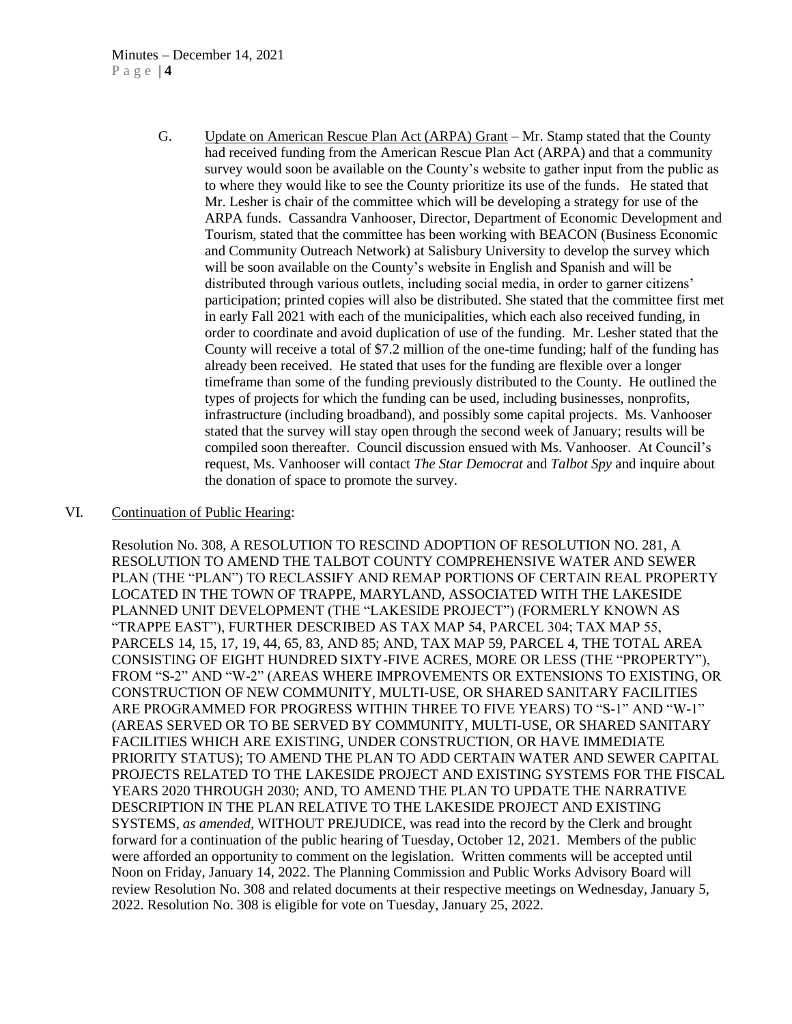#### Minutes – December 14, 2021 P a g e | **4**

G. Update on American Rescue Plan Act (ARPA) Grant – Mr. Stamp stated that the County had received funding from the American Rescue Plan Act (ARPA) and that a community survey would soon be available on the County's website to gather input from the public as to where they would like to see the County prioritize its use of the funds. He stated that Mr. Lesher is chair of the committee which will be developing a strategy for use of the ARPA funds. Cassandra Vanhooser, Director, Department of Economic Development and Tourism, stated that the committee has been working with BEACON (Business Economic and Community Outreach Network) at Salisbury University to develop the survey which will be soon available on the County's website in English and Spanish and will be distributed through various outlets, including social media, in order to garner citizens' participation; printed copies will also be distributed. She stated that the committee first met in early Fall 2021 with each of the municipalities, which each also received funding, in order to coordinate and avoid duplication of use of the funding. Mr. Lesher stated that the County will receive a total of \$7.2 million of the one-time funding; half of the funding has already been received. He stated that uses for the funding are flexible over a longer timeframe than some of the funding previously distributed to the County. He outlined the types of projects for which the funding can be used, including businesses, nonprofits, infrastructure (including broadband), and possibly some capital projects. Ms. Vanhooser stated that the survey will stay open through the second week of January; results will be compiled soon thereafter. Council discussion ensued with Ms. Vanhooser. At Council's request, Ms. Vanhooser will contact *The Star Democrat* and *Talbot Spy* and inquire about the donation of space to promote the survey.

#### VI. Continuation of Public Hearing:

Resolution No. 308, A RESOLUTION TO RESCIND ADOPTION OF RESOLUTION NO. 281, A RESOLUTION TO AMEND THE TALBOT COUNTY COMPREHENSIVE WATER AND SEWER PLAN (THE "PLAN") TO RECLASSIFY AND REMAP PORTIONS OF CERTAIN REAL PROPERTY LOCATED IN THE TOWN OF TRAPPE, MARYLAND, ASSOCIATED WITH THE LAKESIDE PLANNED UNIT DEVELOPMENT (THE "LAKESIDE PROJECT") (FORMERLY KNOWN AS "TRAPPE EAST"), FURTHER DESCRIBED AS TAX MAP 54, PARCEL 304; TAX MAP 55, PARCELS 14, 15, 17, 19, 44, 65, 83, AND 85; AND, TAX MAP 59, PARCEL 4, THE TOTAL AREA CONSISTING OF EIGHT HUNDRED SIXTY-FIVE ACRES, MORE OR LESS (THE "PROPERTY"), FROM "S-2" AND "W-2" (AREAS WHERE IMPROVEMENTS OR EXTENSIONS TO EXISTING, OR CONSTRUCTION OF NEW COMMUNITY, MULTI-USE, OR SHARED SANITARY FACILITIES ARE PROGRAMMED FOR PROGRESS WITHIN THREE TO FIVE YEARS) TO "S-1" AND "W-1" (AREAS SERVED OR TO BE SERVED BY COMMUNITY, MULTI-USE, OR SHARED SANITARY FACILITIES WHICH ARE EXISTING, UNDER CONSTRUCTION, OR HAVE IMMEDIATE PRIORITY STATUS); TO AMEND THE PLAN TO ADD CERTAIN WATER AND SEWER CAPITAL PROJECTS RELATED TO THE LAKESIDE PROJECT AND EXISTING SYSTEMS FOR THE FISCAL YEARS 2020 THROUGH 2030; AND, TO AMEND THE PLAN TO UPDATE THE NARRATIVE DESCRIPTION IN THE PLAN RELATIVE TO THE LAKESIDE PROJECT AND EXISTING SYSTEMS, *as amended*, WITHOUT PREJUDICE, was read into the record by the Clerk and brought forward for a continuation of the public hearing of Tuesday, October 12, 2021. Members of the public were afforded an opportunity to comment on the legislation. Written comments will be accepted until Noon on Friday, January 14, 2022. The Planning Commission and Public Works Advisory Board will review Resolution No. 308 and related documents at their respective meetings on Wednesday, January 5, 2022. Resolution No. 308 is eligible for vote on Tuesday, January 25, 2022.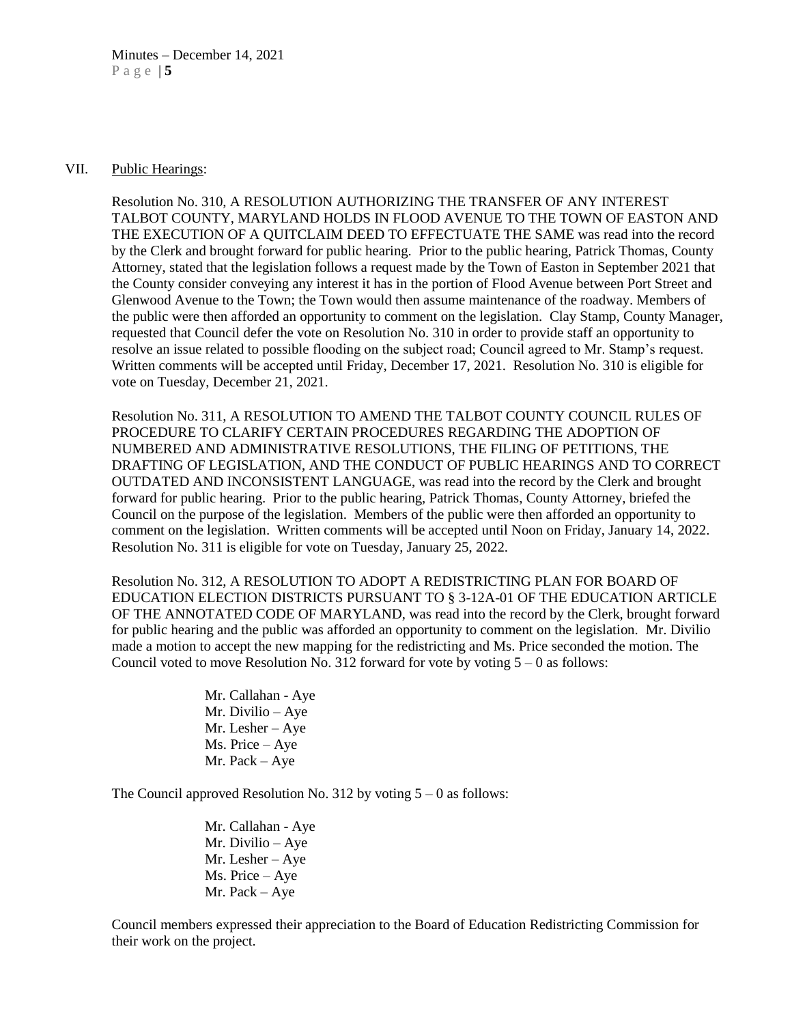#### VII. Public Hearings:

Resolution No. 310, A RESOLUTION AUTHORIZING THE TRANSFER OF ANY INTEREST TALBOT COUNTY, MARYLAND HOLDS IN FLOOD AVENUE TO THE TOWN OF EASTON AND THE EXECUTION OF A QUITCLAIM DEED TO EFFECTUATE THE SAME was read into the record by the Clerk and brought forward for public hearing. Prior to the public hearing, Patrick Thomas, County Attorney, stated that the legislation follows a request made by the Town of Easton in September 2021 that the County consider conveying any interest it has in the portion of Flood Avenue between Port Street and Glenwood Avenue to the Town; the Town would then assume maintenance of the roadway. Members of the public were then afforded an opportunity to comment on the legislation. Clay Stamp, County Manager, requested that Council defer the vote on Resolution No. 310 in order to provide staff an opportunity to resolve an issue related to possible flooding on the subject road; Council agreed to Mr. Stamp's request. Written comments will be accepted until Friday, December 17, 2021. Resolution No. 310 is eligible for vote on Tuesday, December 21, 2021.

Resolution No. 311, A RESOLUTION TO AMEND THE TALBOT COUNTY COUNCIL RULES OF PROCEDURE TO CLARIFY CERTAIN PROCEDURES REGARDING THE ADOPTION OF NUMBERED AND ADMINISTRATIVE RESOLUTIONS, THE FILING OF PETITIONS, THE DRAFTING OF LEGISLATION, AND THE CONDUCT OF PUBLIC HEARINGS AND TO CORRECT OUTDATED AND INCONSISTENT LANGUAGE, was read into the record by the Clerk and brought forward for public hearing. Prior to the public hearing, Patrick Thomas, County Attorney, briefed the Council on the purpose of the legislation. Members of the public were then afforded an opportunity to comment on the legislation. Written comments will be accepted until Noon on Friday, January 14, 2022. Resolution No. 311 is eligible for vote on Tuesday, January 25, 2022.

Resolution No. 312, A RESOLUTION TO ADOPT A REDISTRICTING PLAN FOR BOARD OF EDUCATION ELECTION DISTRICTS PURSUANT TO § 3-12A-01 OF THE EDUCATION ARTICLE OF THE ANNOTATED CODE OF MARYLAND, was read into the record by the Clerk, brought forward for public hearing and the public was afforded an opportunity to comment on the legislation. Mr. Divilio made a motion to accept the new mapping for the redistricting and Ms. Price seconded the motion. The Council voted to move Resolution No. 312 forward for vote by voting  $5 - 0$  as follows:

> Mr. Callahan - Aye Mr. Divilio – Aye Mr. Lesher – Aye Ms. Price – Aye Mr. Pack – Aye

The Council approved Resolution No. 312 by voting  $5 - 0$  as follows:

Mr. Callahan - Aye Mr. Divilio – Aye Mr. Lesher – Aye Ms. Price – Aye Mr. Pack – Aye

Council members expressed their appreciation to the Board of Education Redistricting Commission for their work on the project.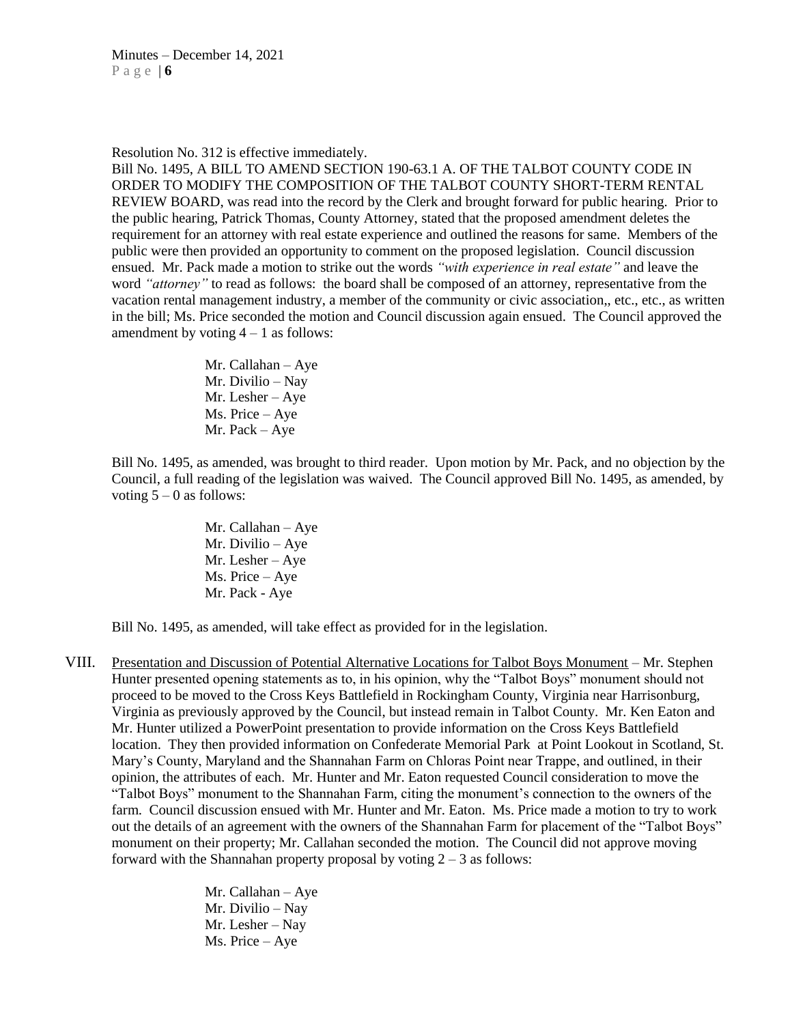Resolution No. 312 is effective immediately.

Bill No. 1495, A BILL TO AMEND SECTION 190-63.1 A. OF THE TALBOT COUNTY CODE IN ORDER TO MODIFY THE COMPOSITION OF THE TALBOT COUNTY SHORT-TERM RENTAL REVIEW BOARD, was read into the record by the Clerk and brought forward for public hearing. Prior to the public hearing, Patrick Thomas, County Attorney, stated that the proposed amendment deletes the requirement for an attorney with real estate experience and outlined the reasons for same. Members of the public were then provided an opportunity to comment on the proposed legislation. Council discussion ensued. Mr. Pack made a motion to strike out the words *"with experience in real estate"* and leave the word *"attorney"* to read as follows: the board shall be composed of an attorney, representative from the vacation rental management industry, a member of the community or civic association,, etc., etc., as written in the bill; Ms. Price seconded the motion and Council discussion again ensued. The Council approved the amendment by voting  $4 - 1$  as follows:

> Mr. Callahan – Aye Mr. Divilio – Nay Mr. Lesher – Aye Ms. Price – Aye Mr. Pack – Aye

Bill No. 1495, as amended, was brought to third reader. Upon motion by Mr. Pack, and no objection by the Council, a full reading of the legislation was waived. The Council approved Bill No. 1495, as amended, by voting  $5 - 0$  as follows:

> Mr. Callahan – Aye Mr. Divilio – Aye Mr. Lesher – Aye Ms. Price – Aye Mr. Pack - Aye

Bill No. 1495, as amended, will take effect as provided for in the legislation.

VIII. Presentation and Discussion of Potential Alternative Locations for Talbot Boys Monument – Mr. Stephen Hunter presented opening statements as to, in his opinion, why the "Talbot Boys" monument should not proceed to be moved to the Cross Keys Battlefield in Rockingham County, Virginia near Harrisonburg, Virginia as previously approved by the Council, but instead remain in Talbot County. Mr. Ken Eaton and Mr. Hunter utilized a PowerPoint presentation to provide information on the Cross Keys Battlefield location. They then provided information on Confederate Memorial Park at Point Lookout in Scotland, St. Mary's County, Maryland and the Shannahan Farm on Chloras Point near Trappe, and outlined, in their opinion, the attributes of each. Mr. Hunter and Mr. Eaton requested Council consideration to move the "Talbot Boys" monument to the Shannahan Farm, citing the monument's connection to the owners of the farm. Council discussion ensued with Mr. Hunter and Mr. Eaton. Ms. Price made a motion to try to work out the details of an agreement with the owners of the Shannahan Farm for placement of the "Talbot Boys" monument on their property; Mr. Callahan seconded the motion. The Council did not approve moving forward with the Shannahan property proposal by voting  $2 - 3$  as follows:

> Mr. Callahan – Aye Mr. Divilio – Nay Mr. Lesher – Nay Ms. Price – Aye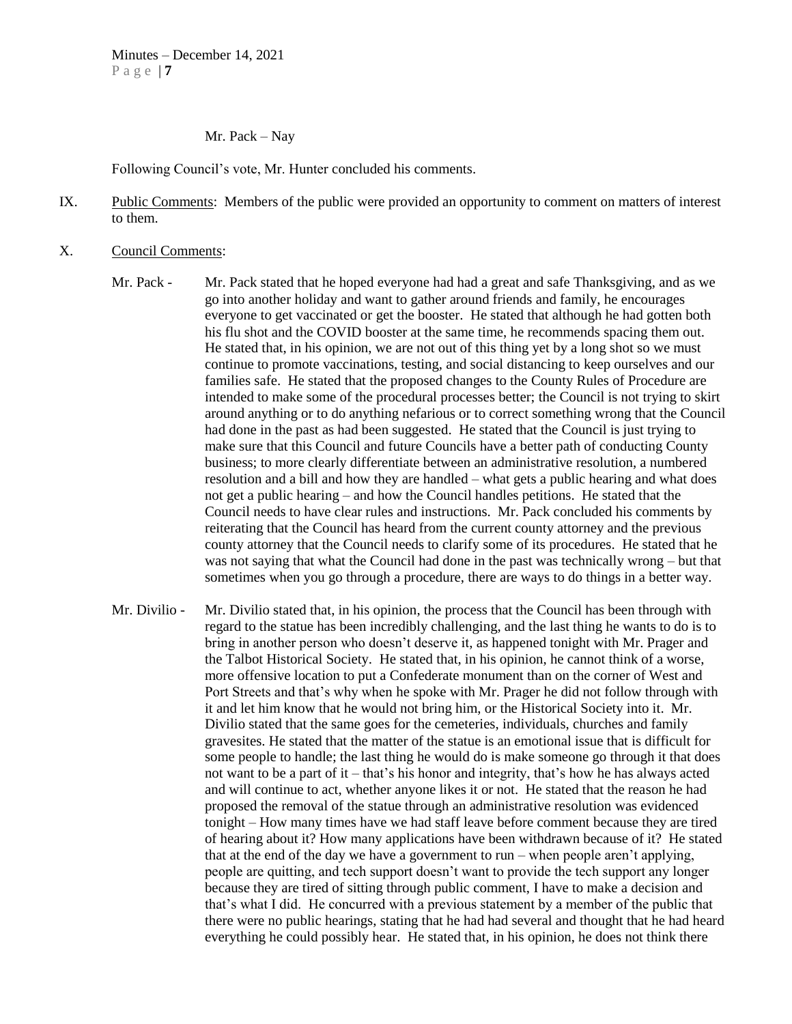Mr. Pack – Nay

Following Council's vote, Mr. Hunter concluded his comments.

- IX. Public Comments: Members of the public were provided an opportunity to comment on matters of interest to them.
- X. Council Comments:
	- Mr. Pack Mr. Pack stated that he hoped everyone had had a great and safe Thanksgiving, and as we go into another holiday and want to gather around friends and family, he encourages everyone to get vaccinated or get the booster. He stated that although he had gotten both his flu shot and the COVID booster at the same time, he recommends spacing them out. He stated that, in his opinion, we are not out of this thing yet by a long shot so we must continue to promote vaccinations, testing, and social distancing to keep ourselves and our families safe. He stated that the proposed changes to the County Rules of Procedure are intended to make some of the procedural processes better; the Council is not trying to skirt around anything or to do anything nefarious or to correct something wrong that the Council had done in the past as had been suggested. He stated that the Council is just trying to make sure that this Council and future Councils have a better path of conducting County business; to more clearly differentiate between an administrative resolution, a numbered resolution and a bill and how they are handled – what gets a public hearing and what does not get a public hearing – and how the Council handles petitions. He stated that the Council needs to have clear rules and instructions. Mr. Pack concluded his comments by reiterating that the Council has heard from the current county attorney and the previous county attorney that the Council needs to clarify some of its procedures. He stated that he was not saying that what the Council had done in the past was technically wrong – but that sometimes when you go through a procedure, there are ways to do things in a better way.
	- Mr. Divilio Mr. Divilio stated that, in his opinion, the process that the Council has been through with regard to the statue has been incredibly challenging, and the last thing he wants to do is to bring in another person who doesn't deserve it, as happened tonight with Mr. Prager and the Talbot Historical Society. He stated that, in his opinion, he cannot think of a worse, more offensive location to put a Confederate monument than on the corner of West and Port Streets and that's why when he spoke with Mr. Prager he did not follow through with it and let him know that he would not bring him, or the Historical Society into it. Mr. Divilio stated that the same goes for the cemeteries, individuals, churches and family gravesites. He stated that the matter of the statue is an emotional issue that is difficult for some people to handle; the last thing he would do is make someone go through it that does not want to be a part of it – that's his honor and integrity, that's how he has always acted and will continue to act, whether anyone likes it or not. He stated that the reason he had proposed the removal of the statue through an administrative resolution was evidenced tonight – How many times have we had staff leave before comment because they are tired of hearing about it? How many applications have been withdrawn because of it? He stated that at the end of the day we have a government to run – when people aren't applying, people are quitting, and tech support doesn't want to provide the tech support any longer because they are tired of sitting through public comment, I have to make a decision and that's what I did. He concurred with a previous statement by a member of the public that there were no public hearings, stating that he had had several and thought that he had heard everything he could possibly hear. He stated that, in his opinion, he does not think there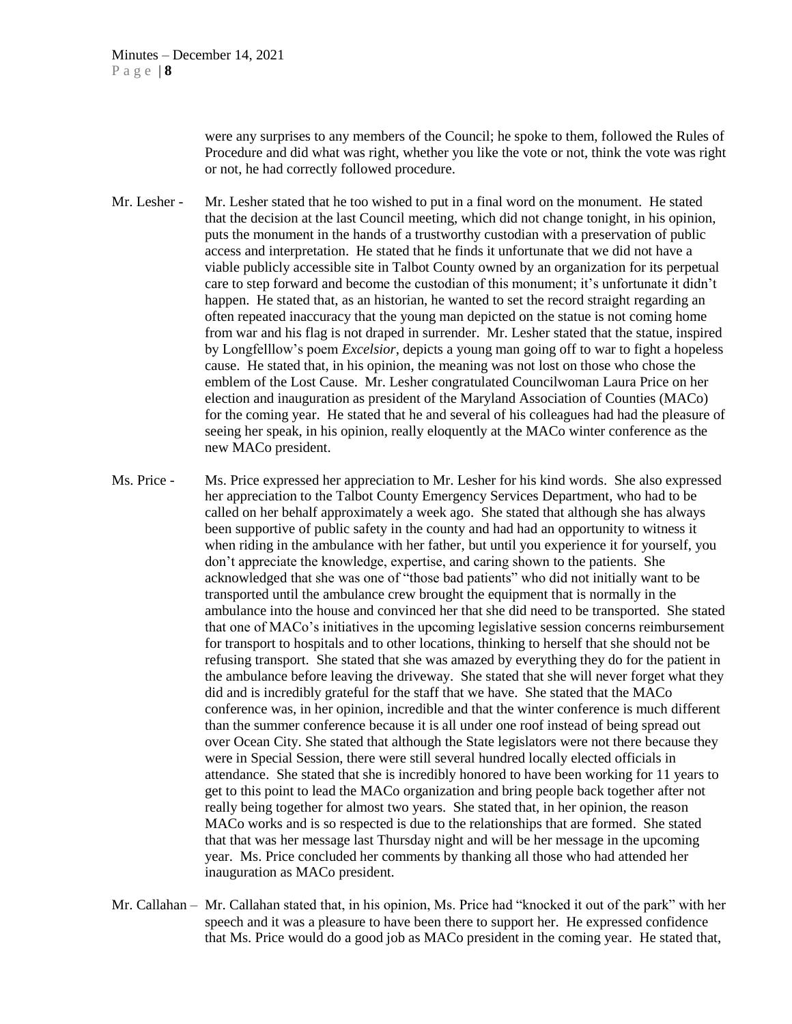were any surprises to any members of the Council; he spoke to them, followed the Rules of Procedure and did what was right, whether you like the vote or not, think the vote was right or not, he had correctly followed procedure.

- Mr. Lesher Mr. Lesher stated that he too wished to put in a final word on the monument. He stated that the decision at the last Council meeting, which did not change tonight, in his opinion, puts the monument in the hands of a trustworthy custodian with a preservation of public access and interpretation. He stated that he finds it unfortunate that we did not have a viable publicly accessible site in Talbot County owned by an organization for its perpetual care to step forward and become the custodian of this monument; it's unfortunate it didn't happen. He stated that, as an historian, he wanted to set the record straight regarding an often repeated inaccuracy that the young man depicted on the statue is not coming home from war and his flag is not draped in surrender. Mr. Lesher stated that the statue, inspired by Longfelllow's poem *Excelsior*, depicts a young man going off to war to fight a hopeless cause. He stated that, in his opinion, the meaning was not lost on those who chose the emblem of the Lost Cause. Mr. Lesher congratulated Councilwoman Laura Price on her election and inauguration as president of the Maryland Association of Counties (MACo) for the coming year. He stated that he and several of his colleagues had had the pleasure of seeing her speak, in his opinion, really eloquently at the MACo winter conference as the new MACo president.
- Ms. Price Ms. Price expressed her appreciation to Mr. Lesher for his kind words. She also expressed her appreciation to the Talbot County Emergency Services Department, who had to be called on her behalf approximately a week ago. She stated that although she has always been supportive of public safety in the county and had had an opportunity to witness it when riding in the ambulance with her father, but until you experience it for yourself, you don't appreciate the knowledge, expertise, and caring shown to the patients. She acknowledged that she was one of "those bad patients" who did not initially want to be transported until the ambulance crew brought the equipment that is normally in the ambulance into the house and convinced her that she did need to be transported. She stated that one of MACo's initiatives in the upcoming legislative session concerns reimbursement for transport to hospitals and to other locations, thinking to herself that she should not be refusing transport. She stated that she was amazed by everything they do for the patient in the ambulance before leaving the driveway. She stated that she will never forget what they did and is incredibly grateful for the staff that we have. She stated that the MACo conference was, in her opinion, incredible and that the winter conference is much different than the summer conference because it is all under one roof instead of being spread out over Ocean City. She stated that although the State legislators were not there because they were in Special Session, there were still several hundred locally elected officials in attendance. She stated that she is incredibly honored to have been working for 11 years to get to this point to lead the MACo organization and bring people back together after not really being together for almost two years. She stated that, in her opinion, the reason MACo works and is so respected is due to the relationships that are formed. She stated that that was her message last Thursday night and will be her message in the upcoming year. Ms. Price concluded her comments by thanking all those who had attended her inauguration as MACo president.
- Mr. Callahan Mr. Callahan stated that, in his opinion, Ms. Price had "knocked it out of the park" with her speech and it was a pleasure to have been there to support her. He expressed confidence that Ms. Price would do a good job as MACo president in the coming year. He stated that,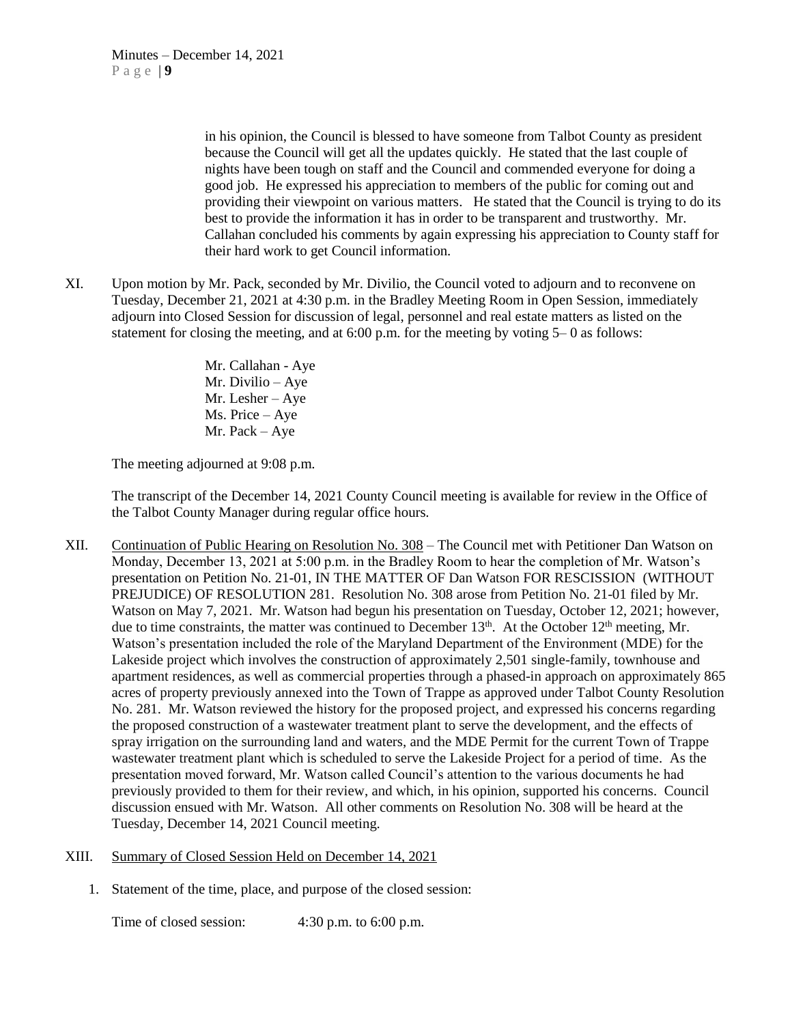in his opinion, the Council is blessed to have someone from Talbot County as president because the Council will get all the updates quickly. He stated that the last couple of nights have been tough on staff and the Council and commended everyone for doing a good job. He expressed his appreciation to members of the public for coming out and providing their viewpoint on various matters. He stated that the Council is trying to do its best to provide the information it has in order to be transparent and trustworthy. Mr. Callahan concluded his comments by again expressing his appreciation to County staff for their hard work to get Council information.

XI. Upon motion by Mr. Pack, seconded by Mr. Divilio, the Council voted to adjourn and to reconvene on Tuesday, December 21, 2021 at 4:30 p.m. in the Bradley Meeting Room in Open Session, immediately adjourn into Closed Session for discussion of legal, personnel and real estate matters as listed on the statement for closing the meeting, and at  $6:00$  p.m. for the meeting by voting  $5-0$  as follows:

> Mr. Callahan - Aye Mr. Divilio – Aye Mr. Lesher – Aye Ms. Price – Aye Mr. Pack – Aye

The meeting adjourned at 9:08 p.m.

The transcript of the December 14, 2021 County Council meeting is available for review in the Office of the Talbot County Manager during regular office hours.

- XII. Continuation of Public Hearing on Resolution No. 308 The Council met with Petitioner Dan Watson on Monday, December 13, 2021 at 5:00 p.m. in the Bradley Room to hear the completion of Mr. Watson's presentation on Petition No. 21-01, IN THE MATTER OF Dan Watson FOR RESCISSION (WITHOUT PREJUDICE) OF RESOLUTION 281. Resolution No. 308 arose from Petition No. 21-01 filed by Mr. Watson on May 7, 2021. Mr. Watson had begun his presentation on Tuesday, October 12, 2021; however, due to time constraints, the matter was continued to December  $13<sup>th</sup>$ . At the October  $12<sup>th</sup>$  meeting, Mr. Watson's presentation included the role of the Maryland Department of the Environment (MDE) for the Lakeside project which involves the construction of approximately 2,501 single-family, townhouse and apartment residences, as well as commercial properties through a phased-in approach on approximately 865 acres of property previously annexed into the Town of Trappe as approved under Talbot County Resolution No. 281. Mr. Watson reviewed the history for the proposed project, and expressed his concerns regarding the proposed construction of a wastewater treatment plant to serve the development, and the effects of spray irrigation on the surrounding land and waters, and the MDE Permit for the current Town of Trappe wastewater treatment plant which is scheduled to serve the Lakeside Project for a period of time. As the presentation moved forward, Mr. Watson called Council's attention to the various documents he had previously provided to them for their review, and which, in his opinion, supported his concerns. Council discussion ensued with Mr. Watson. All other comments on Resolution No. 308 will be heard at the Tuesday, December 14, 2021 Council meeting.
- XIII. Summary of Closed Session Held on December 14, 2021
	- 1. Statement of the time, place, and purpose of the closed session:

Time of closed session: 4:30 p.m. to 6:00 p.m.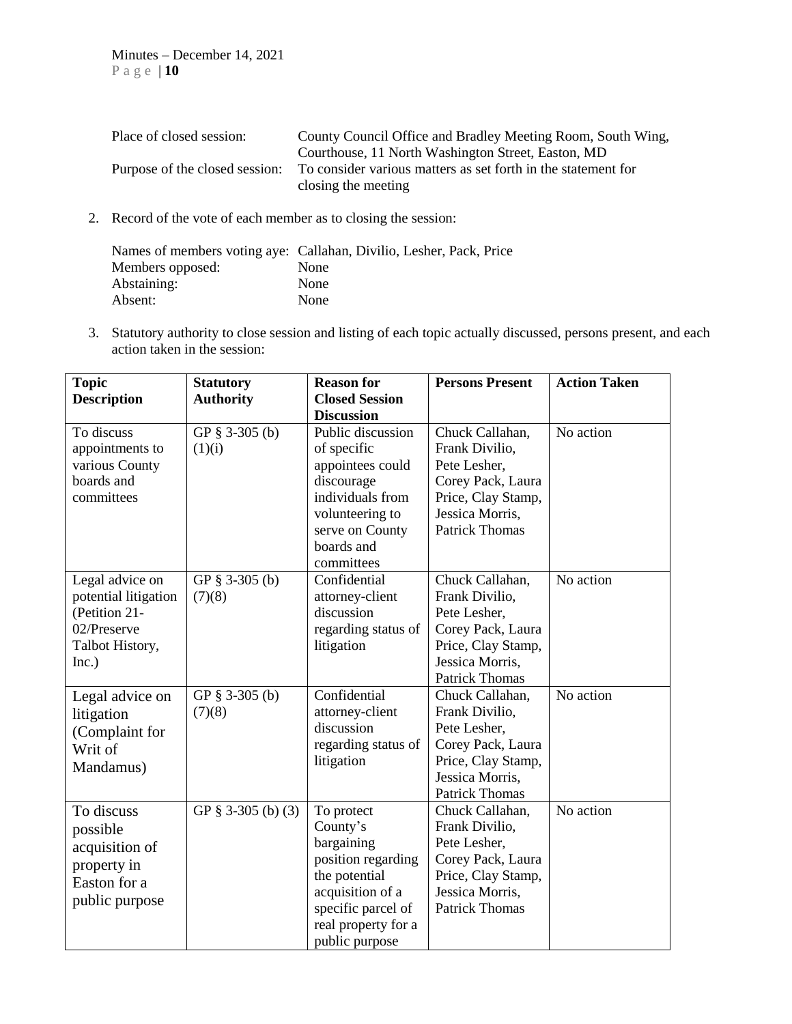| Place of closed session:       | County Council Office and Bradley Meeting Room, South Wing,   |
|--------------------------------|---------------------------------------------------------------|
|                                | Courthouse, 11 North Washington Street, Easton, MD            |
| Purpose of the closed session: | To consider various matters as set forth in the statement for |
|                                | closing the meeting                                           |

2. Record of the vote of each member as to closing the session:

|                  | Names of members voting aye: Callahan, Divilio, Lesher, Pack, Price |
|------------------|---------------------------------------------------------------------|
| Members opposed: | <b>None</b>                                                         |
| Abstaining:      | None                                                                |
| Absent:          | None                                                                |

3. Statutory authority to close session and listing of each topic actually discussed, persons present, and each action taken in the session:

| <b>Topic</b>         | <b>Statutory</b>     | <b>Reason for</b>     | <b>Persons Present</b> | <b>Action Taken</b> |
|----------------------|----------------------|-----------------------|------------------------|---------------------|
| <b>Description</b>   | <b>Authority</b>     | <b>Closed Session</b> |                        |                     |
|                      |                      | <b>Discussion</b>     |                        |                     |
| To discuss           | GP § 3-305 (b)       | Public discussion     | Chuck Callahan,        | No action           |
| appointments to      | (1)(i)               | of specific           | Frank Divilio,         |                     |
| various County       |                      | appointees could      | Pete Lesher,           |                     |
| boards and           |                      | discourage            | Corey Pack, Laura      |                     |
| committees           |                      | individuals from      | Price, Clay Stamp,     |                     |
|                      |                      | volunteering to       | Jessica Morris,        |                     |
|                      |                      | serve on County       | <b>Patrick Thomas</b>  |                     |
|                      |                      | boards and            |                        |                     |
|                      |                      | committees            |                        |                     |
| Legal advice on      | GP $§$ 3-305 (b)     | Confidential          | Chuck Callahan,        | No action           |
| potential litigation | (7)(8)               | attorney-client       | Frank Divilio,         |                     |
| (Petition 21-        |                      | discussion            | Pete Lesher,           |                     |
| 02/Preserve          |                      | regarding status of   | Corey Pack, Laura      |                     |
| Talbot History,      |                      | litigation            | Price, Clay Stamp,     |                     |
| Inc.)                |                      |                       | Jessica Morris.        |                     |
|                      |                      |                       | <b>Patrick Thomas</b>  |                     |
| Legal advice on      | GP § 3-305 (b)       | Confidential          | Chuck Callahan,        | No action           |
| litigation           | (7)(8)               | attorney-client       | Frank Divilio,         |                     |
| (Complaint for       |                      | discussion            | Pete Lesher,           |                     |
| Writ of              |                      | regarding status of   | Corey Pack, Laura      |                     |
| Mandamus)            |                      | litigation            | Price, Clay Stamp,     |                     |
|                      |                      |                       | Jessica Morris,        |                     |
|                      |                      |                       | <b>Patrick Thomas</b>  |                     |
| To discuss           | GP $§$ 3-305 (b) (3) | To protect            | Chuck Callahan,        | No action           |
| possible             |                      | County's              | Frank Divilio,         |                     |
| acquisition of       |                      | bargaining            | Pete Lesher,           |                     |
| property in          |                      | position regarding    | Corey Pack, Laura      |                     |
| Easton for a         |                      | the potential         | Price, Clay Stamp,     |                     |
| public purpose       |                      | acquisition of a      | Jessica Morris,        |                     |
|                      |                      | specific parcel of    | <b>Patrick Thomas</b>  |                     |
|                      |                      | real property for a   |                        |                     |
|                      |                      | public purpose        |                        |                     |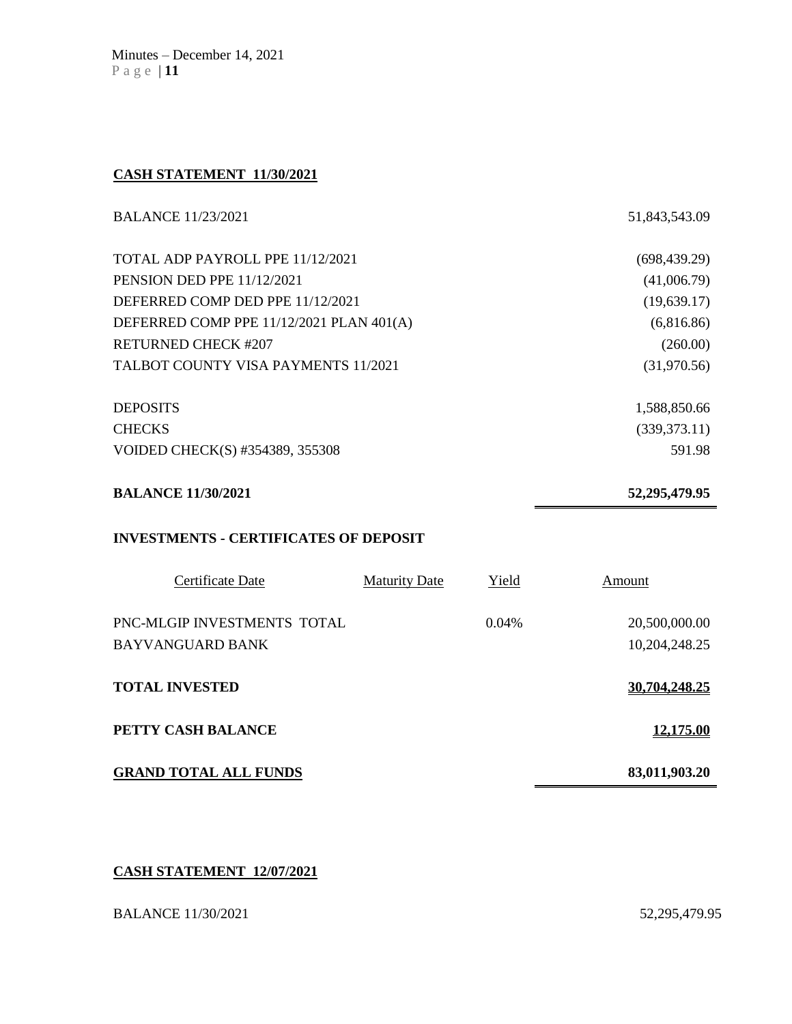Minutes – December 14, 2021 P a g e | **11**

### **CASH STATEMENT 11/30/2021**

| <b>BALANCE 11/23/2021</b>                    |                      |       | 51,843,543.09    |  |
|----------------------------------------------|----------------------|-------|------------------|--|
| TOTAL ADP PAYROLL PPE 11/12/2021             |                      |       | (698, 439.29)    |  |
| PENSION DED PPE 11/12/2021                   |                      |       | (41,006.79)      |  |
| DEFERRED COMP DED PPE 11/12/2021             |                      |       | (19, 639.17)     |  |
| DEFERRED COMP PPE 11/12/2021 PLAN 401(A)     |                      |       | (6,816.86)       |  |
| <b>RETURNED CHECK #207</b>                   |                      |       | (260.00)         |  |
| TALBOT COUNTY VISA PAYMENTS 11/2021          |                      |       | (31,970.56)      |  |
| <b>DEPOSITS</b>                              |                      |       | 1,588,850.66     |  |
| <b>CHECKS</b>                                |                      |       | (339, 373.11)    |  |
| VOIDED CHECK(S) #354389, 355308              |                      |       | 591.98           |  |
| <b>BALANCE 11/30/2021</b>                    |                      |       | 52,295,479.95    |  |
| <b>INVESTMENTS - CERTIFICATES OF DEPOSIT</b> |                      |       |                  |  |
| <b>Certificate Date</b>                      | <b>Maturity Date</b> | Yield | <b>Amount</b>    |  |
| PNC-MLGIP INVESTMENTS TOTAL                  |                      | 0.04% | 20,500,000.00    |  |
| <b>BAYVANGUARD BANK</b>                      |                      |       | 10,204,248.25    |  |
| <b>TOTAL INVESTED</b>                        |                      |       | 30,704,248.25    |  |
| PETTY CASH BALANCE                           |                      |       | <u>12,175.00</u> |  |

**GRAND TOTAL ALL FUNDS 83,011,903.20** 

# **CASH STATEMENT 12/07/2021**

BALANCE 11/30/2021 52,295,479.95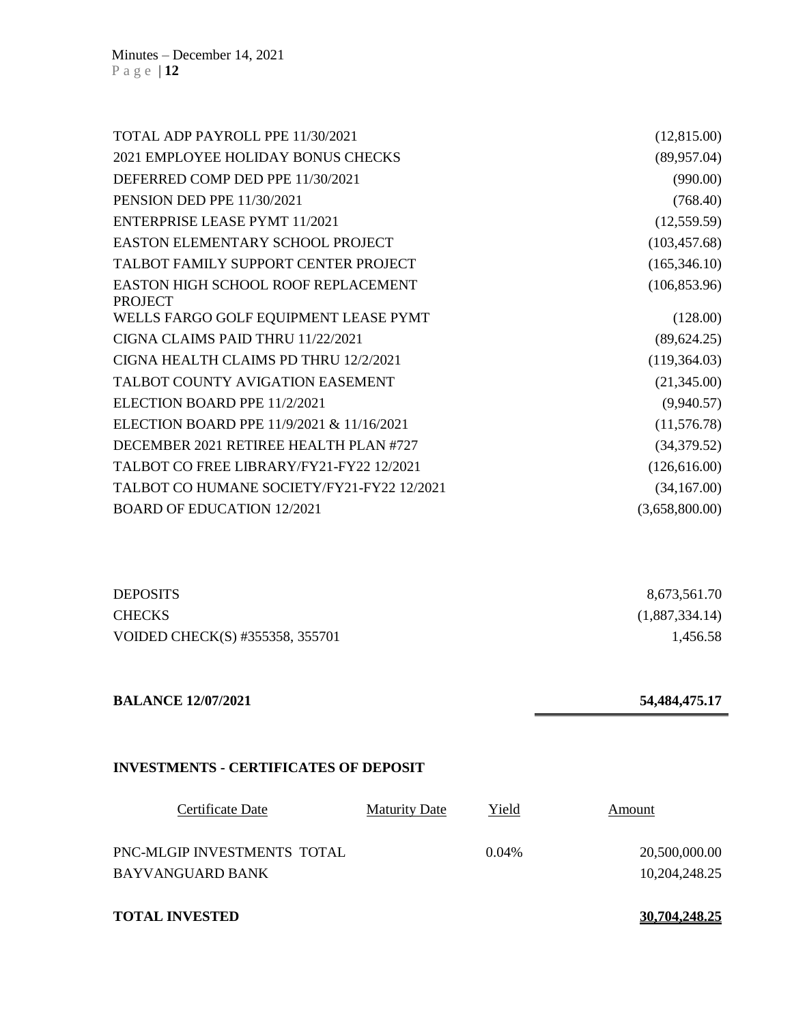| TOTAL ADP PAYROLL PPE 11/30/2021                             | (12,815.00)    |
|--------------------------------------------------------------|----------------|
| <b>2021 EMPLOYEE HOLIDAY BONUS CHECKS</b>                    | (89,957.04)    |
| DEFERRED COMP DED PPE 11/30/2021                             | (990.00)       |
| PENSION DED PPE 11/30/2021                                   | (768.40)       |
| ENTERPRISE LEASE PYMT 11/2021                                | (12, 559.59)   |
| <b>EASTON ELEMENTARY SCHOOL PROJECT</b>                      | (103, 457.68)  |
| TALBOT FAMILY SUPPORT CENTER PROJECT                         | (165, 346.10)  |
| <b>EASTON HIGH SCHOOL ROOF REPLACEMENT</b><br><b>PROJECT</b> | (106, 853.96)  |
| WELLS FARGO GOLF EQUIPMENT LEASE PYMT                        | (128.00)       |
| CIGNA CLAIMS PAID THRU 11/22/2021                            | (89, 624.25)   |
| CIGNA HEALTH CLAIMS PD THRU 12/2/2021                        | (119, 364.03)  |
| TALBOT COUNTY AVIGATION EASEMENT                             | (21,345.00)    |
| ELECTION BOARD PPE 11/2/2021                                 | (9,940.57)     |
| ELECTION BOARD PPE 11/9/2021 & 11/16/2021                    | (11,576.78)    |
| DECEMBER 2021 RETIREE HEALTH PLAN #727                       | (34,379.52)    |
| TALBOT CO FREE LIBRARY/FY21-FY22 12/2021                     | (126, 616.00)  |
| TALBOT CO HUMANE SOCIETY/FY21-FY22 12/2021                   | (34,167.00)    |
| <b>BOARD OF EDUCATION 12/2021</b>                            | (3,658,800.00) |

| <b>DEPOSITS</b>                 | 8,673,561.70   |
|---------------------------------|----------------|
| <b>CHECKS</b>                   | (1,887,334.14) |
| VOIDED CHECK(S) #355358, 355701 | 1,456.58       |

# **BALANCE 12/07/2021 54,484,475.17**

# **INVESTMENTS - CERTIFICATES OF DEPOSIT**

| Certificate Date            | <b>Maturity Date</b> | Yield    | Amount        |
|-----------------------------|----------------------|----------|---------------|
| PNC-MLGIP INVESTMENTS TOTAL |                      | $0.04\%$ | 20,500,000.00 |
| BAYVANGUARD BANK            |                      |          | 10,204,248.25 |
|                             |                      |          |               |

**TOTAL INVESTED 30,704,248.25**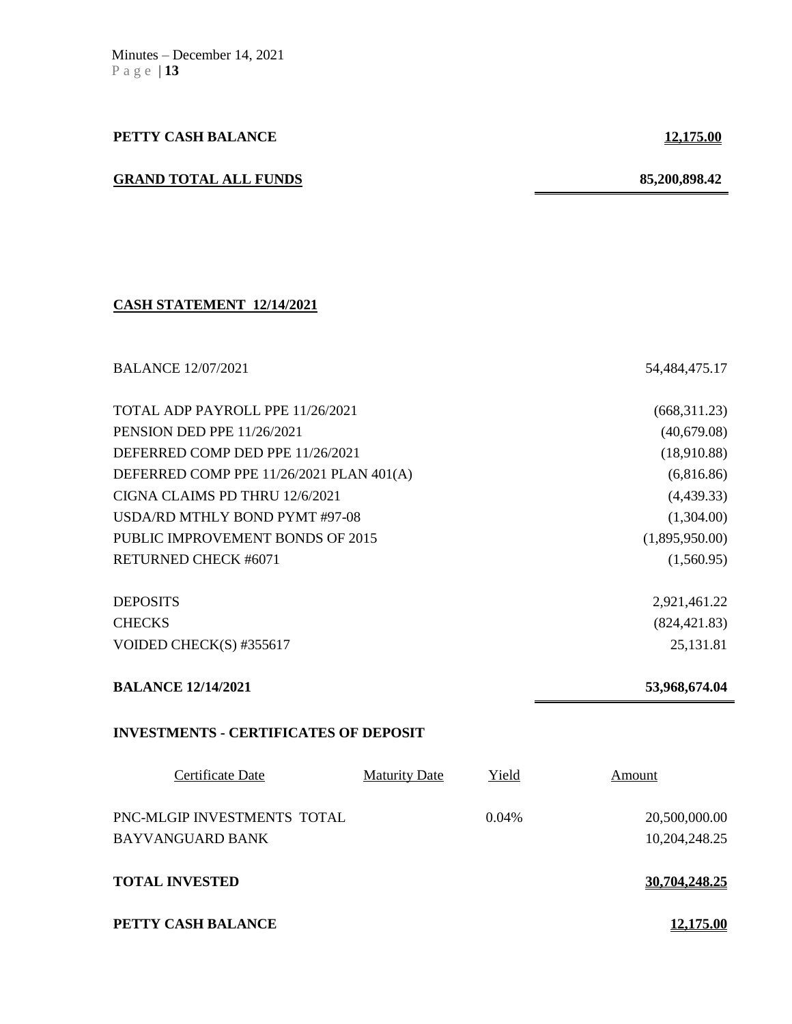# **PETTY CASH BALANCE 12,175.00**

# **GRAND TOTAL ALL FUNDS 85,200,898.42**

### **CASH STATEMENT 12/14/2021**

| <b>BALANCE 12/07/2021</b>                    |                      |       | 54,484,475.17  |
|----------------------------------------------|----------------------|-------|----------------|
| TOTAL ADP PAYROLL PPE 11/26/2021             |                      |       | (668, 311.23)  |
| <b>PENSION DED PPE 11/26/2021</b>            |                      |       | (40,679.08)    |
| DEFERRED COMP DED PPE 11/26/2021             |                      |       | (18,910.88)    |
| DEFERRED COMP PPE 11/26/2021 PLAN 401(A)     |                      |       | (6,816.86)     |
| CIGNA CLAIMS PD THRU 12/6/2021               |                      |       | (4,439.33)     |
| USDA/RD MTHLY BOND PYMT #97-08               |                      |       | (1,304.00)     |
| PUBLIC IMPROVEMENT BONDS OF 2015             |                      |       | (1,895,950.00) |
| <b>RETURNED CHECK #6071</b>                  |                      |       | (1,560.95)     |
| <b>DEPOSITS</b>                              |                      |       | 2,921,461.22   |
| <b>CHECKS</b>                                |                      |       | (824, 421.83)  |
| VOIDED CHECK(S) #355617                      |                      |       | 25,131.81      |
| <b>BALANCE 12/14/2021</b>                    |                      |       | 53,968,674.04  |
| <b>INVESTMENTS - CERTIFICATES OF DEPOSIT</b> |                      |       |                |
| Certificate Date                             | <b>Maturity Date</b> | Yield | Amount         |
| PNC-MLGIP INVESTMENTS TOTAL                  |                      | 0.04% | 20,500,000.00  |
| <b>BAYVANGUARD BANK</b>                      |                      |       | 10,204,248.25  |
| <b>TOTAL INVESTED</b>                        |                      |       | 30,704,248.25  |
| PETTY CASH BALANCE                           |                      |       | 12.175.00      |